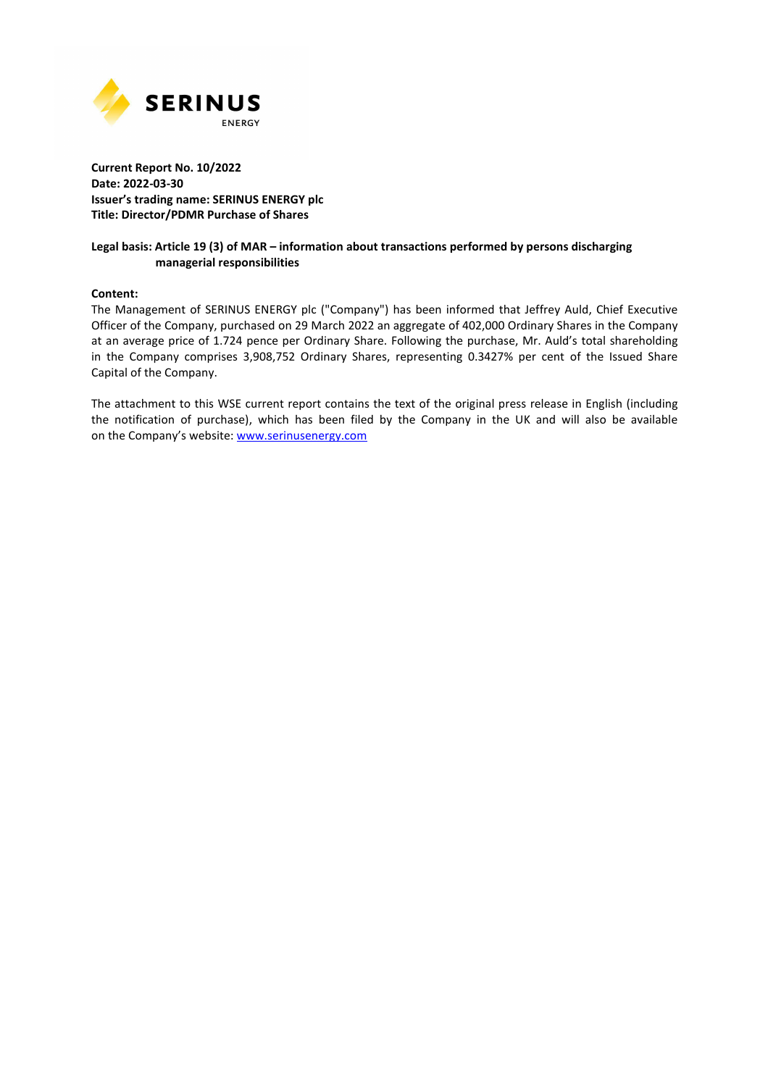

## **Current Report No. 10/2022 Date: 2022-03-30 Issuer's trading name: SERINUS ENERGY plc Title: Director/PDMR Purchase of Shares**

## **Legal basis: Article 19 (3) of MAR – information about transactions performed by persons discharging managerial responsibilities**

#### **Content:**

The Management of SERINUS ENERGY plc ("Company") has been informed that Jeffrey Auld, Chief Executive Officer of the Company, purchased on 29 March 2022 an aggregate of 402,000 Ordinary Shares in the Company at an average price of 1.724 pence per Ordinary Share. Following the purchase, Mr. Auld's total shareholding in the Company comprises 3,908,752 Ordinary Shares, representing 0.3427% per cent of the Issued Share Capital of the Company.

The attachment to this WSE current report contains the text of the original press release in English (including the notification of purchase), which has been filed by the Company in the UK and will also be available on the Company's website: www.serinusenergy.com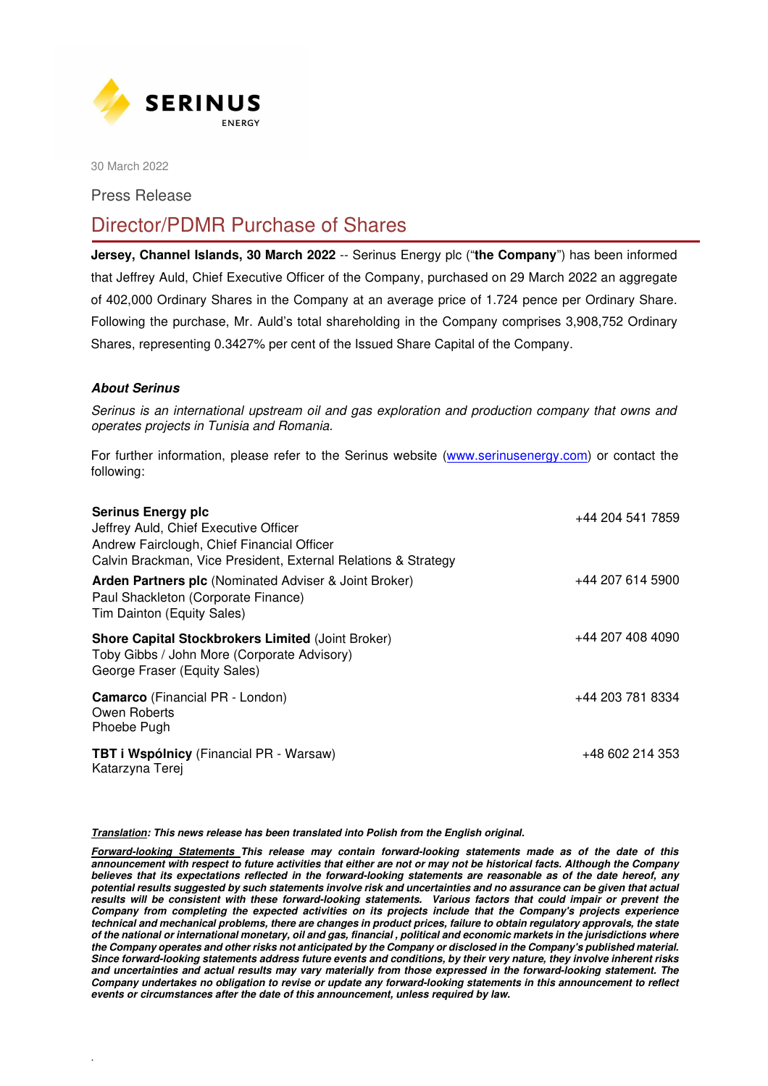

30 March 2022

Press Release

# Director/PDMR Purchase of Shares

**Jersey, Channel Islands, 30 March 2022** -- Serinus Energy plc ("**the Company**") has been informed that Jeffrey Auld, Chief Executive Officer of the Company, purchased on 29 March 2022 an aggregate of 402,000 Ordinary Shares in the Company at an average price of 1.724 pence per Ordinary Share. Following the purchase, Mr. Auld's total shareholding in the Company comprises 3,908,752 Ordinary Shares, representing 0.3427% per cent of the Issued Share Capital of the Company.

# *About Serinus*

.

Serinus is an international upstream oil and gas exploration and production company that owns and operates projects in Tunisia and Romania.

For further information, please refer to the Serinus website (www.serinusenergy.com) or contact the following:

| <b>Serinus Energy plc</b><br>Jeffrey Auld, Chief Executive Officer<br>Andrew Fairclough, Chief Financial Officer<br>Calvin Brackman, Vice President, External Relations & Strategy | +44 204 541 7859 |
|------------------------------------------------------------------------------------------------------------------------------------------------------------------------------------|------------------|
| Arden Partners plc (Nominated Adviser & Joint Broker)<br>Paul Shackleton (Corporate Finance)<br>Tim Dainton (Equity Sales)                                                         | +44 207 614 5900 |
| <b>Shore Capital Stockbrokers Limited (Joint Broker)</b><br>Toby Gibbs / John More (Corporate Advisory)<br>George Fraser (Equity Sales)                                            | +44 207 408 4090 |
| <b>Camarco</b> (Financial PR - London)<br>Owen Roberts<br>Phoebe Pugh                                                                                                              | +44 203 781 8334 |
| <b>TBT i Wspólnicy</b> (Financial PR - Warsaw)<br>Katarzyna Terej                                                                                                                  | +48 602 214 353  |

*Translation: This news release has been translated into Polish from the English original.* 

*Forward-looking Statements This release may contain forward-looking statements made as of the date of this announcement with respect to future activities that either are not or may not be historical facts. Although the Company believes that its expectations reflected in the forward-looking statements are reasonable as of the date hereof, any potential results suggested by such statements involve risk and uncertainties and no assurance can be given that actual*  results will be consistent with these forward-looking statements. Various factors that could impair or prevent the *Company from completing the expected activities on its projects include that the Company's projects experience technical and mechanical problems, there are changes in product prices, failure to obtain regulatory approvals, the state of the national or international monetary, oil and gas, financial , political and economic markets in the jurisdictions where the Company operates and other risks not anticipated by the Company or disclosed in the Company's published material. Since forward-looking statements address future events and conditions, by their very nature, they involve inherent risks and uncertainties and actual results may vary materially from those expressed in the forward-looking statement. The Company undertakes no obligation to revise or update any forward-looking statements in this announcement to reflect events or circumstances after the date of this announcement, unless required by law.*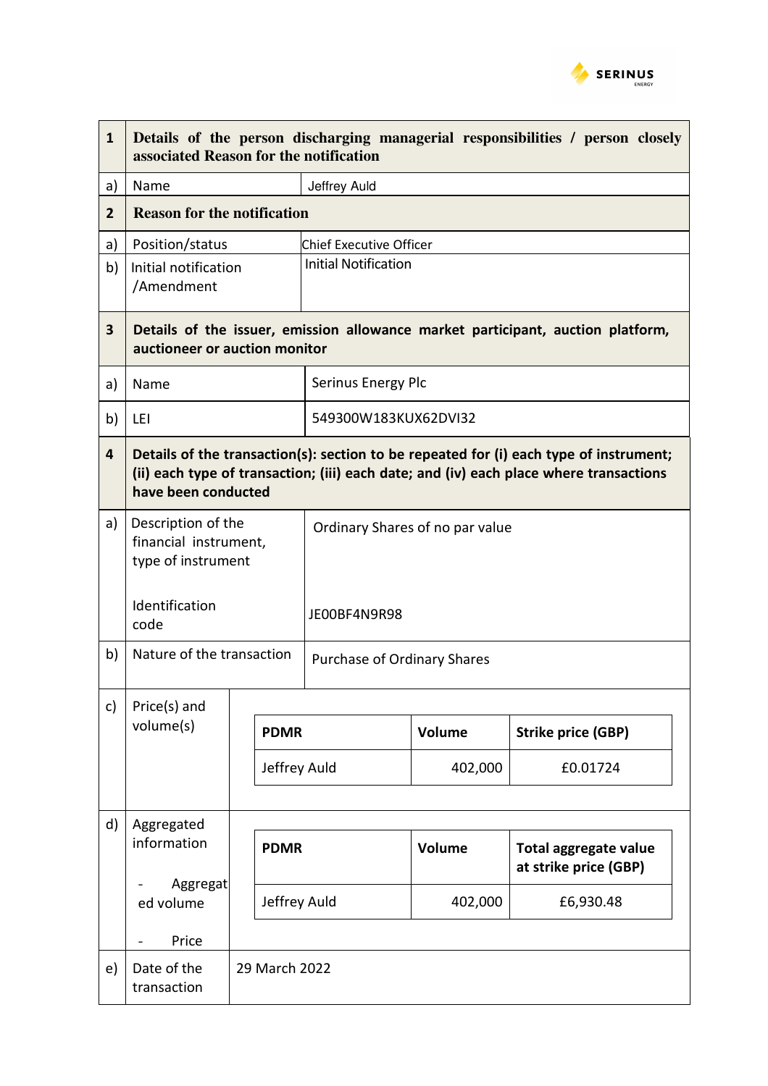

| $\mathbf{1}$   | Details of the person discharging managerial responsibilities / person closely<br>associated Reason for the notification                                                                                |  |                                |                                 |                             |                                                       |  |
|----------------|---------------------------------------------------------------------------------------------------------------------------------------------------------------------------------------------------------|--|--------------------------------|---------------------------------|-----------------------------|-------------------------------------------------------|--|
| a)             | Name                                                                                                                                                                                                    |  |                                | Jeffrey Auld                    |                             |                                                       |  |
| $\overline{2}$ | <b>Reason for the notification</b>                                                                                                                                                                      |  |                                |                                 |                             |                                                       |  |
| a)             | Position/status                                                                                                                                                                                         |  | <b>Chief Executive Officer</b> |                                 |                             |                                                       |  |
| b)             | Initial notification<br>/Amendment                                                                                                                                                                      |  |                                |                                 | <b>Initial Notification</b> |                                                       |  |
| $\mathbf{3}$   | Details of the issuer, emission allowance market participant, auction platform,<br>auctioneer or auction monitor                                                                                        |  |                                |                                 |                             |                                                       |  |
| a)             | Name                                                                                                                                                                                                    |  |                                | Serinus Energy Plc              |                             |                                                       |  |
| b)             | LEI                                                                                                                                                                                                     |  |                                | 549300W183KUX62DVI32            |                             |                                                       |  |
| $\overline{4}$ | Details of the transaction(s): section to be repeated for (i) each type of instrument;<br>(ii) each type of transaction; (iii) each date; and (iv) each place where transactions<br>have been conducted |  |                                |                                 |                             |                                                       |  |
| a)             | Description of the<br>financial instrument,<br>type of instrument                                                                                                                                       |  |                                | Ordinary Shares of no par value |                             |                                                       |  |
|                | Identification<br>code                                                                                                                                                                                  |  |                                | JE00BF4N9R98                    |                             |                                                       |  |
| b)             | Nature of the transaction                                                                                                                                                                               |  |                                | Purchase of Ordinary Shares     |                             |                                                       |  |
| c)             | Price(s) and                                                                                                                                                                                            |  |                                |                                 |                             |                                                       |  |
|                | volume(s)                                                                                                                                                                                               |  | <b>PDMR</b>                    |                                 | Volume                      | <b>Strike price (GBP)</b>                             |  |
|                |                                                                                                                                                                                                         |  | Jeffrey Auld                   |                                 | 402,000                     | £0.01724                                              |  |
| d)             | Aggregated                                                                                                                                                                                              |  |                                |                                 |                             |                                                       |  |
|                | information<br>Aggregat<br>ed volume                                                                                                                                                                    |  | <b>PDMR</b>                    |                                 | Volume                      | <b>Total aggregate value</b><br>at strike price (GBP) |  |
|                |                                                                                                                                                                                                         |  | Jeffrey Auld                   |                                 | 402,000                     | £6,930.48                                             |  |
|                | Price<br>$\overline{\phantom{0}}$                                                                                                                                                                       |  |                                |                                 |                             |                                                       |  |
| e)             | Date of the<br>transaction                                                                                                                                                                              |  | 29 March 2022                  |                                 |                             |                                                       |  |